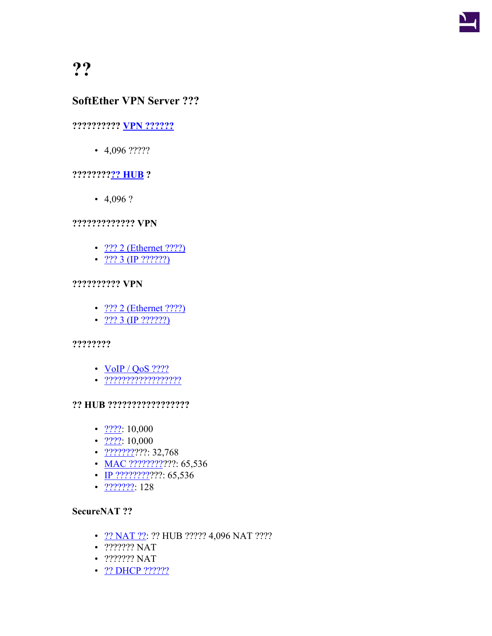

# **SoftEther VPN Server ???**

## **?????????? [VPN ??????](https://ja.softether.org/4-docs/1-manual/3/3.4#3.4.5_Session_Management)**

 $\cdot$  4,096 ?????

## **????????[?? HUB](https://ja.softether.org/4-docs/1-manual/3/3.4) ?**

•  $4,096$  ?

### **????????????? VPN**

- ??? 2 [\(Ethernet ????\)](https://ja.softether.org/4-docs/1-manual/A/10.4)
- [??? 3 \(IP ??????\)](https://ja.softether.org/4-docs/2-howto/L2TP_IPsec_Setup_Guide)

### **?????????? VPN**

- [??? 2 \(Ethernet ????\)](https://ja.softether.org/4-docs/1-manual/A/10.5)
- $?$ ?? 3 (IP ??????)

### **????????**

- $V$ oIP / QoS ????
- [??????????????????](https://ja.softether.org/4-docs/1-manual/3/3.5#3.5.9_Security_Policies)

### **?? HUB ?????????????????**

- $????: 10,000$  $????: 10,000$
- $????$  $????$  $????$ : 10,000</u>
- [???????](https://ja.softether.org/4-docs/1-manual/3/3.5#3.5.10_Packet_Filtering_with_the_Access_List)???: 32,768
- [MAC ?????????](https://ja.softether.org/4-docs/1-manual/3/3.4#3.4.6_MAC_Address_Tables)??? 65,536
- [IP ????????](https://ja.softether.org/4-docs/1-manual/3/3.4#3.4.7_IP_Address_Table)????? 65,536
- $??????? 128$  $??????? 128$

### **SecureNAT ??**

- [?? NAT ??:](https://ja.softether.org/4-docs/1-manual/3/3.7) ?? HUB ????? 4,096 NAT ????
- ??????? NAT
- ??????? NAT
- ?? [DHCP ??????](https://ja.softether.org/4-docs/1-manual/3/3.7)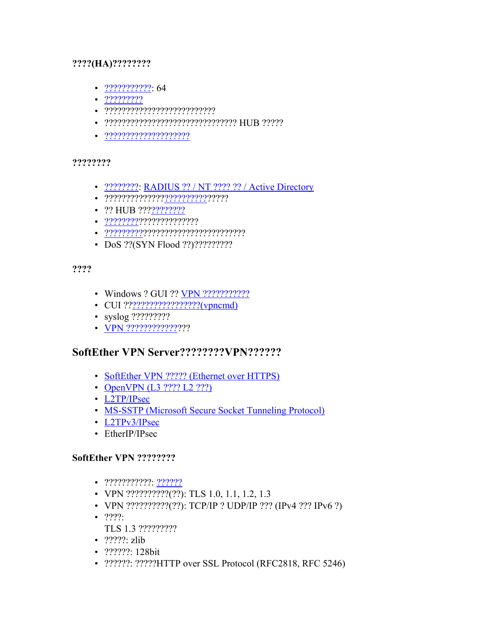### **????(HA)????????**

- [???????????:](https://ja.softether.org/4-docs/1-manual/3/3.9) 64
- [?????????](https://ja.softether.org/4-docs/1-manual/A/10.8)
- ??????????????????????????
- ??????????????????????????????? HUB ?????
- [????????????????????](https://ja.softether.org/4-docs/1-manual/1/1.7)

#### **????????**

- ????????? [RADIUS ?? / NT ???? ?? / Active Directory](https://ja.softether.org/4-docs/1-manual/2/2.2)
- ??????????????[???????????](https://ja.softether.org/4-docs/1-manual/3/3.5#3.5.9_Security_Policies)????
- ?? HUB ???[????????](https://ja.softether.org/4-docs/1-manual/3/3.A)
- [?????????](https://ja.softether.org/4-docs/1-manual/3/3.2)?????????????
- [??????????](https://ja.softether.org/1-features/5._%E7%B0%A1%E5%8D%98%E3%81%AA%E3%82%A4%E3%83%B3%E3%82%B9%E3%83%88%E3%83%BC%E3%83%AB%E3%81%A8%E7%AE%A1%E7%90%86#5.7._User-mode_Install)???????????????????????
- DoS ??(SYN Flood ??)??????????

### **????**

- Windows ? GUI ?? [VPN ???????????](https://ja.softether.org/1-features/5._%E7%B0%A1%E5%8D%98%E3%81%AA%E3%82%A4%E3%83%B3%E3%82%B9%E3%83%88%E3%83%BC%E3%83%AB%E3%81%A8%E7%AE%A1%E7%90%86#5.5._GUI_Management_Tools)?
- CUI ??<u>[?????????????????\(vpncmd\)](https://ja.softether.org/4-docs/1-manual/6)</u>
- syslog ?????????
- [VPN ?????????????](https://ja.softether.org/4-docs/1-manual/3/3.3#3.3.6_Listener_Ports)??

# **SoftEther VPN Server????????VPN??????**

- [SoftEther VPN ????? \(Ethernet over HTTPS\)](https://ja.softether.org/1-features/1._%E6%A5%B5%E3%82%81%E3%81%A6%E5%BC%B7%E5%8A%9B%E3%81%AA_VPN_%E6%8E%A5%E7%B6%9A%E6%80%A7)
- [OpenVPN \(L3](https://ja.softether.org/1-features/1._%E6%A5%B5%E3%82%81%E3%81%A6%E5%BC%B7%E5%8A%9B%E3%81%AA_VPN_%E6%8E%A5%E7%B6%9A%E6%80%A7#Support_OpenVPN_Protocol) ???? L2 ???)
- [L2TP/IPsec](https://ja.softether.org/4-docs/2-howto/L2TP_IPsec_Setup_Guide)
- [MS-SSTP \(Microsoft Secure Socket Tunneling Protocol\)](https://ja.softether.org/1-features/1._%E6%A5%B5%E3%82%81%E3%81%A6%E5%BC%B7%E5%8A%9B%E3%81%AA_VPN_%E6%8E%A5%E7%B6%9A%E6%80%A7#Support_Microsoft_SSTP_VPN_Protocol)
- [L2TPv3/IPsec](https://ja.softether.org/4-docs/2-howto/Other_VPN_Appliance_Setup_Guide/6)
- EtherIP/IPsec

## **SoftEther VPN ????????**

- ???????????: [??????](https://ja.softether.org/1-features/2._%E3%83%AC%E3%82%A4%E3%83%A4_2_Ethernet_%E3%83%99%E3%83%BC%E3%82%B9%E3%81%AE_VPN)
- VPN ???????????(??): TLS 1.0, 1.1, 1.2, 1.3
- VPN ??????????(??): TCP/IP ? UDP/IP ??? (IPv4 ??? IPv6 ?)
- $????$ :
- TLS 1.3 ?????????
- ?????: zlib
- ??????: 128bit
- ??????: ?????HTTP over SSL Protocol (RFC2818, RFC 5246)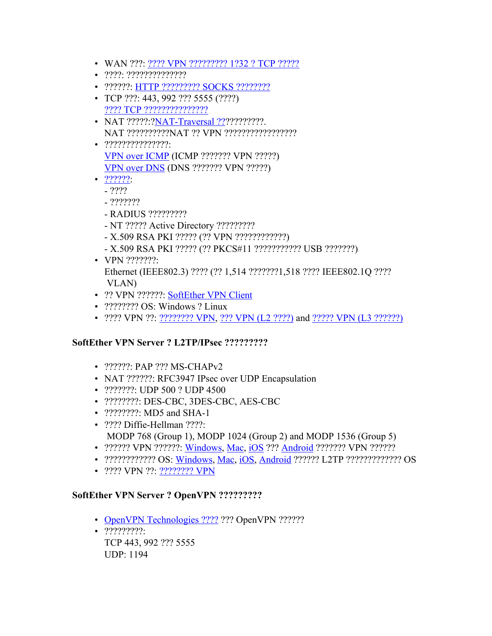- WAN ???: [???? VPN ????????? 1?32 ?](https://ja.softether.org/4-docs/1-manual/2/2.1) TCP ?????
- ????: ??????????????
- ??????: HTTP ????????? [SOCKS ????????](https://ja.softether.org/4-docs/1-manual/4/4.4)
- TCP ???: 443, 992 ??? 5555 (????) [???? TCP ???????????????](https://ja.softether.org/4-docs/1-manual/3/3.3#3.3.6_Listener_Ports)
- NAT ?????:?[NAT-Traversal ???](https://ja.softether.org/1-features/1._%E6%A5%B5%E3%82%81%E3%81%A6%E5%BC%B7%E5%8A%9B%E3%81%AA_VPN_%E6%8E%A5%E7%B6%9A%E6%80%A7#1.5._NAT_Traversal)?????????????. NAT ??????????NAT ?? VPN ?????????????????
- ???????????????: [VPN over ICMP](https://ja.softether.org/1-features/1._%E6%A5%B5%E3%82%81%E3%81%A6%E5%BC%B7%E5%8A%9B%E3%81%AA_VPN_%E6%8E%A5%E7%B6%9A%E6%80%A7#1.6._VPN_over_ICMP.2C_and_VPN_over_DNS_(Awesome!)) (ICMP ??????? VPN ?????) [VPN over DNS](https://ja.softether.org/1-features/1._%E6%A5%B5%E3%82%81%E3%81%A6%E5%BC%B7%E5%8A%9B%E3%81%AA_VPN_%E6%8E%A5%E7%B6%9A%E6%80%A7#1.6._VPN_over_ICMP.2C_and_VPN_over_DNS_(Awesome!)) (DNS ??????? VPN ?????)
- ??????
	- ????
	- ???????
	- RADIUS ?????????
	- NT ????? Active Directory ?????????
	- X.509 RSA PKI ????? (?? VPN ????????????)
	- X.509 RSA PKI ????? (?? PKCS#11 ??????????? USB ???????)
- VPN ??????? Ethernet (IEEE802.3) ???? (?? 1,514 ???????1,518 ???? IEEE802.1Q ???? VLAN)
	- ?? VPN ??????: [SoftEther VPN Client](https://ja.softether.org/4-docs/1-manual/4)
	- ????????? OS: Windows ? Linux
	- ???? VPN ??: ?[???????? VPN,](https://ja.softether.org/4-docs/1-manual/A/10.4) [??? VPN \(L2 ????\)](https://ja.softether.org/4-docs/1-manual/A/10.5) and [????? VPN \(L3 ??????\)](https://ja.softether.org/4-docs/1-manual/A/10.6)

# **SoftEther VPN Server ? L2TP/IPsec ?????????**

- ??????? PAP ??? MS-CHAPv2
- NAT ??????: RFC3947 IPsec over UDP Encapsulation
- ???????: UDP 500 ? UDP 4500
- ?????????: DES-CBC, 3DES-CBC, AES-CBC
- 2????????: MD5 and SHA-1
- ???? Diffie-Hellman ????: MODP 768 (Group 1), MODP 1024 (Group 2) and MODP 1536 (Group 5)
- 2?????? VPN ???????: [Windows](https://ja.softether.org/4-docs/2-howto/L2TP_IPsec_Setup_Guide/4), [Mac,](https://ja.softether.org/4-docs/2-howto/L2TP_IPsec_Setup_Guide/5) [iOS](https://ja.softether.org/4-docs/2-howto/L2TP_IPsec_Setup_Guide/2) ??? [Android](https://ja.softether.org/4-docs/2-howto/L2TP_IPsec_Setup_Guide/3) ??????? VPN ??????
- ?????????????? OS: [Windows,](https://ja.softether.org/4-docs/2-howto/L2TP_IPsec_Setup_Guide/4) [Mac,](https://ja.softether.org/4-docs/2-howto/L2TP_IPsec_Setup_Guide/5) [iOS,](https://ja.softether.org/4-docs/2-howto/L2TP_IPsec_Setup_Guide/2) [Android](https://ja.softether.org/4-docs/2-howto/L2TP_IPsec_Setup_Guide/3) ?????? L2TP ??????????????? OS
- ???? VPN ??: [???????? VPN](https://ja.softether.org/4-docs/2-howto/L2TP_IPsec_Setup_Guide)

## **SoftEther VPN Server ? OpenVPN ?????????**

- [OpenVPN Technologies ????](http://openvpn.net/index.php/open-source.html) ??? OpenVPN ??????
- ?????????: TCP 443, 992 ??? 5555 UDP: 1194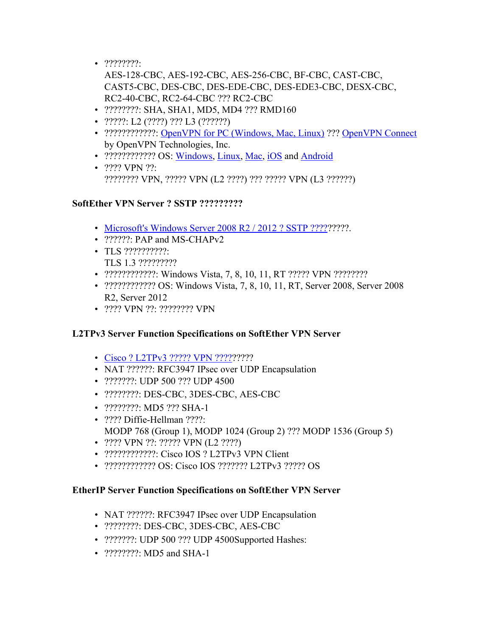$\bullet$  ????????

AES-128-CBC, AES-192-CBC, AES-256-CBC, BF-CBC, CAST-CBC, CAST5-CBC, DES-CBC, DES-EDE-CBC, DES-EDE3-CBC, DESX-CBC, RC2-40-CBC, RC2-64-CBC ??? RC2-CBC

- ?????????: SHA, SHA1, MD5, MD4 ??? RMD160
- ?????: L2 (????) ??? L3 (??????)
- ??????????????: [OpenVPN for PC \(Windows, Mac, Linux\)](http://openvpn.net/index.php/open-source/downloads.html) ??? [OpenVPN Connect](https://itunes.apple.com/us/app/openvpn-connect/id590379981) by OpenVPN Technologies, Inc.
- ????????????? OS: [Windows,](http://openvpn.net/index.php/open-source/downloads.html) [Linux](http://openvpn.net/index.php/open-source/downloads.html), [Mac,](http://code.google.com/p/tunnelblick/) [iOS](https://itunes.apple.com/us/app/openvpn-connect/id590379981) and [Android](https://play.google.com/store/apps/details?id=net.openvpn.privatetunnel)
- ???? VPN ??: ???????? VPN, ????? VPN (L2 ????) ??? ????? VPN (L3 ??????)

# **SoftEther VPN Server ? SSTP ?????????**

- [Microsoft's Windows Server 2008 R2 / 2012 ? SSTP ?????](http://technet.microsoft.com/en-us/library/cc731352(v=ws.10).aspx)?????.
- ???????: PAP and MS-CHAPv2
- TLS ??????????: TLS 1.3 ?????????
- ?????????????: Windows Vista, 7, 8, 10, 11, RT ????? VPN ?????????
- ???????????? OS: Windows Vista, 7, 8, 10, 11, RT, Server 2008, Server 2008 R2, Server 2012
- ???? VPN ??: ???????? VPN

# **L2TPv3 Server Function Specifications on SoftEther VPN Server**

- [Cisco ? L2TPv3 ????? VPN ?????](https://ja.softether.org/4-docs/2-howto/Other_VPN_Appliance_Setup_Guide/6/why)?????
- NAT ??????: RFC3947 IPsec over UDP Encapsulation
- ????????: UDP 500 ??? UDP 4500
- ????????: DES-CBC, 3DES-CBC, AES-CBC
- ????????: MD5 ??? SHA-1
- ???? Diffie-Hellman ????: MODP 768 (Group 1), MODP 1024 (Group 2) ??? MODP 1536 (Group 5)
- ???? VPN ??: ????? VPN (L2 ????)
- ??????????????: Cisco IOS ? L2TPv3 VPN Client
- ???????????? OS: Cisco IOS ??????? L2TPv3 ????? OS

## **EtherIP Server Function Specifications on SoftEther VPN Server**

- NAT ??????: RFC3947 IPsec over UDP Encapsulation
- ????????: DES-CBC, 3DES-CBC, AES-CBC
- ????????: UDP 500 ??? UDP 4500Supported Hashes:
- ?????????: MD5 and SHA-1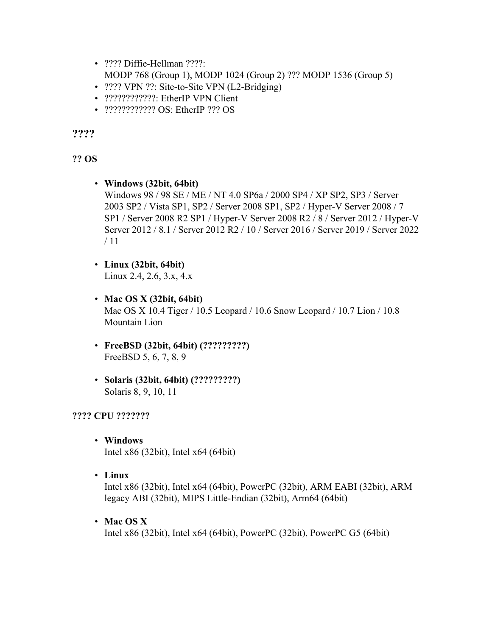- ???? Diffie-Hellman ????: MODP 768 (Group 1), MODP 1024 (Group 2) ??? MODP 1536 (Group 5)
- ???? VPN ??: Site-to-Site VPN (L2-Bridging)
- ??????????????: EtherIP VPN Client
- ????????????????? OS: EtherIP ??? OS

**????**

# **?? OS**

- **Windows (32bit, 64bit)** Windows 98 / 98 SE / ME / NT 4.0 SP6a / 2000 SP4 / XP SP2, SP3 / Server 2003 SP2 / Vista SP1, SP2 / Server 2008 SP1, SP2 / Hyper-V Server 2008 / 7 SP1 / Server 2008 R2 SP1 / Hyper-V Server 2008 R2 / 8 / Server 2012 / Hyper-V Server 2012 / 8.1 / Server 2012 R2 / 10 / Server 2016 / Server 2019 / Server 2022 / 11
- **Linux (32bit, 64bit)**

Linux 2.4, 2.6, 3.x, 4.x

- **Mac OS X (32bit, 64bit)** Mac OS X 10.4 Tiger / 10.5 Leopard / 10.6 Snow Leopard / 10.7 Lion / 10.8 Mountain Lion
- **FreeBSD (32bit, 64bit) (?????????)** FreeBSD 5, 6, 7, 8, 9
- **Solaris (32bit, 64bit) (?????????)** Solaris 8, 9, 10, 11

# **???? CPU ???????**

- **Windows** Intel x86 (32bit), Intel x64 (64bit)
- **Linux**

Intel x86 (32bit), Intel x64 (64bit), PowerPC (32bit), ARM EABI (32bit), ARM legacy ABI (32bit), MIPS Little-Endian (32bit), Arm64 (64bit)

• **Mac OS X**

Intel x86 (32bit), Intel x64 (64bit), PowerPC (32bit), PowerPC G5 (64bit)